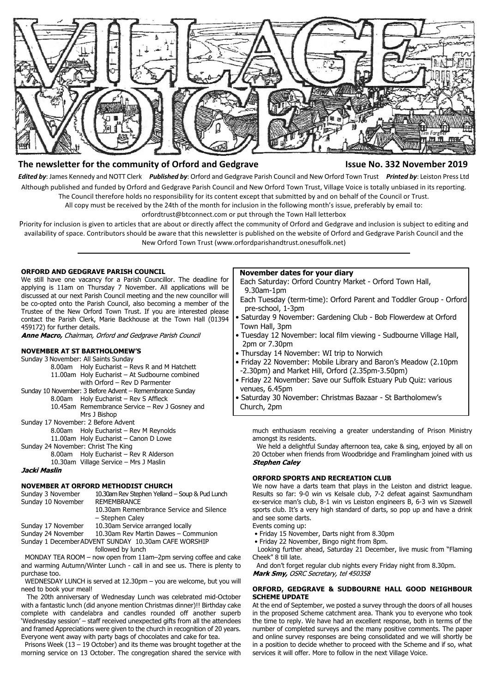

# **The newsletter for the community of Orford and Gedgrave Issue No. 332 November 2019**

*Edited by*: James Kennedy and NOTT Clerk *Published by*: Orford and Gedgrave Parish Council and New Orford Town Trust *Printed by*: Leiston Press Ltd Although published and funded by Orford and Gedgrave Parish Council and New Orford Town Trust, Village Voice is totally unbiased in its reporting. The Council therefore holds no responsibility for its content except that submitted by and on behalf of the Council or Trust.

All copy must be received by the 24th of the month for inclusion in the following month's issue, preferably by email to:

orfordtrust@btconnect.com or put through the Town Hall letterbox

Priority for inclusion is given to articles that are about or directly affect the community of Orford and Gedgrave and inclusion is subject to editing and availability of space. Contributors should be aware that this newsletter is published on the website of Orford and Gedgrave Parish Council and the New Orford Town Trust (www.orfordparishandtrust.onesuffolk.net)

# **ORFORD AND GEDGRAVE PARISH COUNCIL**

We still have one vacancy for a Parish Councillor. The deadline for applying is 11am on Thursday 7 November. All applications will be discussed at our next Parish Council meeting and the new councillor will be co-opted onto the Parish Council, also becoming a member of the Trustee of the New Orford Town Trust. If you are interested please contact the Parish Clerk, Marie Backhouse at the Town Hall (01394 459172) for further details.

Anne Macro, Chairman, Orford and Gedgrave Parish Council

# **NOVEMBER AT ST BARTHOLOMEW'S**

- Sunday 3 November: All Saints Sunday
- 8.00am Holy Eucharist Revs R and M Hatchett 11.00am Holy Eucharist – At Sudbourne combined
- with Orford Rev D Parmenter Sunday 10 November: 3 Before Advent – Remembrance Sunday
	- 8.00am Holy Eucharist Rev S Affleck 10.45am Remembrance Service – Rev J Gosney and
		- Mrs J Bishop
- Sunday 17 November: 2 Before Advent
	- 8.00am Holy Eucharist Rev M Reynolds
	- 11.00am Holy Eucharist Canon D Lowe
- Sunday 24 November: Christ The King

8.00am Holy Eucharist – Rev R Alderson 10.30am Village Service – Mrs J Maslin

Jacki Maslin

# **NOVEMBER AT ORFORD METHODIST CHURCH**

| Sunday 3 November  | 10.30am Rev Stephen Yelland - Soup & Pud Lunch       |  |
|--------------------|------------------------------------------------------|--|
| Sunday 10 November | <b>REMEMBRANCE</b>                                   |  |
|                    | 10.30am Remembrance Service and Silence              |  |
|                    | - Stephen Caley                                      |  |
| Sunday 17 November | 10.30am Service arranged locally                     |  |
| Sunday 24 November | 10.30am Rev Martin Dawes - Communion                 |  |
|                    | Sunday 1 December ADVENT SUNDAY 10.30am CAFE WORSHIP |  |
|                    |                                                      |  |

followed by lunch

 MONDAY TEA ROOM – now open from 11am–2pm serving coffee and cake and warming Autumn/Winter Lunch - call in and see us. There is plenty to purchase too.

 WEDNESDAY LUNCH is served at 12.30pm – you are welcome, but you will need to book your meal!

 The 20th anniversary of Wednesday Lunch was celebrated mid-October with a fantastic lunch (did anyone mention Christmas dinner)!! Birthday cake complete with candelabra and candles rounded off another superb 'Wednesday session' – staff received unexpected gifts from all the attendees and framed Appreciations were given to the church in recognition of 20 years. Everyone went away with party bags of chocolates and cake for tea.

 Prisons Week (13 – 19 October) and its theme was brought together at the morning service on 13 October. The congregation shared the service with

## **November dates for your diary**

 Each Saturday: Orford Country Market - Orford Town Hall, 9.30am-1pm

- Each Tuesday (term-time): Orford Parent and Toddler Group Orford pre-school, 1-3pm
- Saturday 9 November: Gardening Club Bob Flowerdew at Orford Town Hall, 3pm
- Tuesday 12 November: local film viewing Sudbourne Village Hall, 2pm or 7.30pm
- Thursday 14 November: WI trip to Norwich
- Friday 22 November: Mobile Library and Baron's Meadow (2.10pm -2.30pm) and Market Hill, Orford (2.35pm-3.50pm)
- Friday 22 November: Save our Suffolk Estuary Pub Quiz: various venues, 6.45pm
- Saturday 30 November: Christmas Bazaar St Bartholomew's Church, 2pm

much enthusiasm receiving a greater understanding of Prison Ministry amongst its residents.

We held a delightful Sunday afternoon tea, cake & sing, enjoyed by all on 20 October when friends from Woodbridge and Framlingham joined with us **Stephen Caley** 

# **ORFORD SPORTS AND RECREATION CLUB**

We now have a darts team that plays in the Leiston and district league. Results so far: 9-0 win vs Kelsale club, 7-2 defeat against Saxmundham ex-service man's club, 8-1 win vs Leiston engineers B, 6-3 win vs Sizewell sports club. It's a very high standard of darts, so pop up and have a drink and see some darts.

Events coming up:

- Friday 15 November, Darts night from 8.30pm
- Friday 22 November, Bingo night from 8pm.

 Looking further ahead, Saturday 21 December, live music from "Flaming Cheek" 8 till late.

And don't forget regular club nights every Friday night from 8.30pm.<br>Mark Smy, OSRC Secretary, tel 450358

# **ORFORD, GEDGRAVE & SUDBOURNE HALL GOOD NEIGHBOUR SCHEME UPDATE**

At the end of September, we posted a survey through the doors of all houses in the proposed Scheme catchment area. Thank you to everyone who took the time to reply. We have had an excellent response, both in terms of the number of completed surveys and the many positive comments. The paper and online survey responses are being consolidated and we will shortly be in a position to decide whether to proceed with the Scheme and if so, what services it will offer. More to follow in the next Village Voice.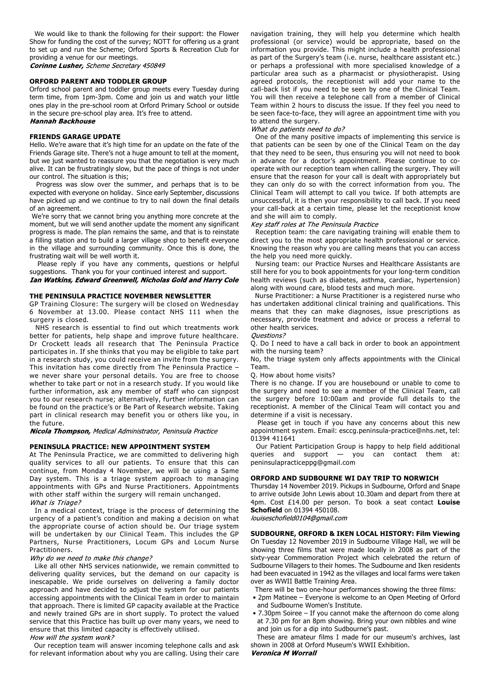We would like to thank the following for their support: the Flower Show for funding the cost of the survey; NOTT for offering us a grant to set up and run the Scheme; Orford Sports & Recreation Club for providing a venue for our meetings.

Corinne Lusher, Scheme Secretary 450849

# **ORFORD PARENT AND TODDLER GROUP**

Orford school parent and toddler group meets every Tuesday during term time, from 1pm-3pm. Come and join us and watch your little ones play in the pre-school room at Orford Primary School or outside in the secure pre-school play area. It's free to attend.

**Hannah Backhouse** 

### **FRIENDS GARAGE UPDATE**

Hello. We're aware that it's high time for an update on the fate of the Friends Garage site. There's not a huge amount to tell at the moment, but we just wanted to reassure you that the negotiation is very much alive. It can be frustratingly slow, but the pace of things is not under our control. The situation is this;

 Progress was slow over the summer, and perhaps that is to be expected with everyone on holiday. Since early September, discussions have picked up and we continue to try to nail down the final details of an agreement.

 We're sorry that we cannot bring you anything more concrete at the moment, but we will send another update the moment any significant progress is made. The plan remains the same, and that is to reinstate a filling station and to build a larger village shop to benefit everyone in the village and surrounding community. Once this is done, the frustrating wait will be well worth it.

 Please reply if you have any comments, questions or helpful suggestions. Thank you for your continued interest and support.

Ian Watkins, Edward Greenwell, Nicholas Gold and Harry Cole

# **THE PENINSULA PRACTICE NOVEMBER NEWSLETTER**

GP Training Closure: The surgery will be closed on Wednesday 6 November at 13.00. Please contact NHS 111 when the surgery is closed.

 NHS research is essential to find out which treatments work better for patients, help shape and improve future healthcare. Dr Crockett leads all research that The Peninsula Practice participates in. If she thinks that you may be eligible to take part in a research study, you could receive an invite from the surgery. This invitation has come directly from The Peninsula Practice – we never share your personal details. You are free to choose whether to take part or not in a research study. If you would like further information, ask any member of staff who can signpost you to our research nurse; alternatively, further information can be found on the practice's or Be Part of Research website. Taking part in clinical research may benefit you or others like you, in the future.

Nicola Thompson, Medical Administrator, Peninsula Practice

#### **PENINSULA PRACTICE: NEW APPOINTMENT SYSTEM**

At The Peninsula Practice, we are committed to delivering high quality services to all our patients. To ensure that this can continue, from Monday 4 November, we will be using a Same Day system. This is a triage system approach to managing appointments with GPs and Nurse Practitioners. Appointments with other staff within the surgery will remain unchanged. What is Triage?

 In a medical context, triage is the process of determining the urgency of a patient's condition and making a decision on what the appropriate course of action should be. Our triage system will be undertaken by our Clinical Team. This includes the GP Partners, Nurse Practitioners, Locum GPs and Locum Nurse Practitioners.

#### Why do we need to make this change?

 Like all other NHS services nationwide, we remain committed to delivering quality services, but the demand on our capacity is inescapable. We pride ourselves on delivering a family doctor approach and have decided to adjust the system for our patients accessing appointments with the Clinical Team in order to maintain that approach. There is limited GP capacity available at the Practice and newly trained GPs are in short supply. To protect the valued service that this Practice has built up over many years, we need to ensure that this limited capacity is effectively utilised.

How will the system work?

 Our reception team will answer incoming telephone calls and ask for relevant information about why you are calling. Using their care navigation training, they will help you determine which health professional (or service) would be appropriate, based on the information you provide. This might include a health professional as part of the Surgery's team (i.e. nurse, healthcare assistant etc.) or perhaps a professional with more specialised knowledge of a particular area such as a pharmacist or physiotherapist. Using agreed protocols, the receptionist will add your name to the call-back list if you need to be seen by one of the Clinical Team. You will then receive a telephone call from a member of Clinical Team within 2 hours to discuss the issue. If they feel you need to be seen face-to-face, they will agree an appointment time with you to attend the surgery.

## What do patients need to do?

 One of the many positive impacts of implementing this service is that patients can be seen by one of the Clinical Team on the day that they need to be seen, thus ensuring you will not need to book in advance for a doctor's appointment. Please continue to cooperate with our reception team when calling the surgery. They will ensure that the reason for your call is dealt with appropriately but they can only do so with the correct information from you. The Clinical Team will attempt to call you twice. If both attempts are unsuccessful, it is then your responsibility to call back. If you need your call-back at a certain time, please let the receptionist know and she will aim to comply.

### Key staff roles at The Peninsula Practice

 Reception team: the care navigating training will enable them to direct you to the most appropriate health professional or service. Knowing the reason why you are calling means that you can access the help you need more quickly.

 Nursing team: our Practice Nurses and Healthcare Assistants are still here for you to book appointments for your long-term condition health reviews (such as diabetes, asthma, cardiac, hypertension) along with wound care, blood tests and much more.

 Nurse Practitioner: a Nurse Practitioner is a registered nurse who has undertaken additional clinical training and qualifications. This means that they can make diagnoses, issue prescriptions as necessary, provide treatment and advice or process a referral to other health services.

#### Ouestions?

Q. Do I need to have a call back in order to book an appointment with the nursing team?

No, the triage system only affects appointments with the Clinical Team.

#### Q. How about home visits?

There is no change. If you are housebound or unable to come to the surgery and need to see a member of the Clinical Team, call the surgery before 10:00am and provide full details to the receptionist. A member of the Clinical Team will contact you and determine if a visit is necessary.

 Please get in touch if you have any concerns about this new appointment system. Email: esccg.peninsula-practice@nhs.net, tel: 01394 411641

 Our Patient Participation Group is happy to help field additional queries and support — you can contact them at: peninsulapracticeppg@gmail.com

#### **ORFORD AND SUDBOURNE WI DAY TRIP TO NORWICH**

Thursday 14 November 2019. Pickups in Sudbourne, Orford and Snape to arrive outside John Lewis about 10.30am and depart from there at 4pm. Cost £14.00 per person. To book a seat contact **Louise Schofield** on 01394 450108.

louiseschofield0104@gmail.com

**SUDBOURNE, ORFORD & IKEN LOCAL HISTORY: Film Viewing** On Tuesday 12 November 2019 in Sudbourne Village Hall, we will be showing three films that were made locally in 2008 as part of the sixty-year Commemoration Project which celebrated the return of Sudbourne Villagers to their homes. The Sudbourne and Iken residents had been evacuated in 1942 as the villages and local farms were taken over as WWII Battle Training Area.

There will be two one-hour performances showing the three films:

- 2pm Matinee Everyone is welcome to an Open Meeting of Orford and Sudbourne Women's Institute.
- 7.30pm Soiree If you cannot make the afternoon do come along at 7.30 pm for an 8pm showing. Bring your own nibbles and wine and join us for a dip into Sudbourne's past.

 These are amateur films I made for our museum's archives, last shown in 2008 at Orford Museum's WWII Exhibition.

Veronica M Worrall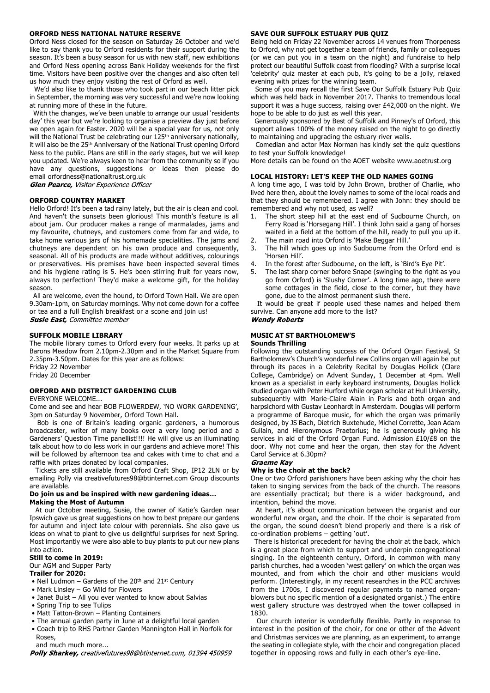## **ORFORD NESS NATIONAL NATURE RESERVE**

Orford Ness closed for the season on Saturday 26 October and we'd like to say thank you to Orford residents for their support during the season. It's been a busy season for us with new staff, new exhibitions and Orford Ness opening across Bank Holiday weekends for the first time. Visitors have been positive over the changes and also often tell us how much they enjoy visiting the rest of Orford as well.

 We'd also like to thank those who took part in our beach litter pick in September, the morning was very successful and we're now looking at running more of these in the future.

 With the changes, we've been unable to arrange our usual 'residents day' this year but we're looking to organise a preview day just before we open again for Easter. 2020 will be a special year for us, not only will the National Trust be celebrating our 125<sup>th</sup> anniversary nationally, it will also be the 25<sup>th</sup> Anniversary of the National Trust opening Orford Ness to the public. Plans are still in the early stages, but we will keep you updated. We're always keen to hear from the community so if you have any questions, suggestions or ideas then please do email orfordness@nationaltrust.org.uk<br>Glen Pearce, Visitor Experience Officer

#### **ORFORD COUNTRY MARKET**

Hello Orford! It's been a tad rainy lately, but the air is clean and cool. And haven't the sunsets been glorious! This month's feature is all about jam. Our producer makes a range of marmalades, jams and my favourite, chutneys, and customers come from far and wide, to take home various jars of his homemade specialities. The jams and chutneys are dependent on his own produce and consequently, seasonal. All of his products are made without additives, colourings or preservatives. His premises have been inspected several times and his hygiene rating is 5. He's been stirring fruit for years now, always to perfection! They'd make a welcome gift, for the holiday season.

 All are welcome, even the hound, to Orford Town Hall. We are open 9.30am-1pm, on Saturday mornings. Why not come down for a coffee or tea and a full English breakfast or a scone and join us! **Susie East, Committee member** 

#### **SUFFOLK MOBILE LIBRARY**

The mobile library comes to Orford every four weeks. It parks up at Barons Meadow from 2.10pm-2.30pm and in the Market Square from 2.35pm-3.50pm. Dates for this year are as follows: Friday 22 November

Friday 20 December

# **ORFORD AND DISTRICT GARDENING CLUB**

EVERYONE WELCOME...

Come and see and hear BOB FLOWERDEW, 'NO WORK GARDENING', 3pm on Saturday 9 November, Orford Town Hall.

 Bob is one of Britain's leading organic gardeners, a humorous broadcaster, writer of many books over a very long period and a Gardeners' Question Time panellist!!!! He will give us an illuminating talk about how to do less work in our gardens and achieve more! This will be followed by afternoon tea and cakes with time to chat and a raffle with prizes donated by local companies.

 Tickets are still available from Orford Craft Shop, IP12 2LN or by emailing Polly via creativefutures98@btinternet.com Group discounts are available.

#### **Do join us and be inspired with new gardening ideas… Making the Most of Autumn**

 At our October meeting, Susie, the owner of Katie's Garden near Ipswich gave us great suggestions on how to best prepare our gardens for autumn and inject late colour with perennials. She also gave us ideas on what to plant to give us delightful surprises for next Spring. Most importantly we were also able to buy plants to put our new plans into action.

## **Still to come in 2019:**

#### Our AGM and Supper Party

### **Trailer for 2020:**

- Neil Ludmon Gardens of the 20<sup>th</sup> and 21<sup>st</sup> Century
- Mark Linsley Go Wild for Flowers
- Janet Buist All you ever wanted to know about Salvias
- Spring Trip to see Tulips
- Matt Tatton-Brown Planting Containers
- The annual garden party in June at a delightful local garden
- Coach trip to RHS Partner Garden Mannington Hall in Norfolk for
- Roses,

 and much much more... Polly Sharkey, creativefutures98@btinternet.com, 01394 450959

- 3. The hill which goes up into Sudbourne from the Orford end is 'Horsen Hill'.
	- 4. In the forest after Sudbourne, on the left, is 'Bird's Eye Pit'.
	- 5. The last sharp corner before Snape (swinging to the right as you go from Orford) is 'Slushy Corner'. A long time ago, there were some cottages in the field, close to the corner, but they have gone, due to the almost permanent slush there.

 It would be great if people used these names and helped them survive. Can anyone add more to the list?

# **Wendy Roberts**

# **MUSIC AT ST BARTHOLOMEW'S**

#### **Sounds Thrilling**

Following the outstanding success of the Orford Organ Festival, St Bartholomew's Church's wonderful new Collins organ will again be put through its paces in a Celebrity Recital by Douglas Hollick (Clare College, Cambridge) on Advent Sunday, 1 December at 4pm. Well known as a specialist in early keyboard instruments, Douglas Hollick studied organ with Peter Hurford while organ scholar at Hull University, subsequently with Marie-Claire Alain in Paris and both organ and harpsichord with Gustav Leonhardt in Amsterdam. Douglas will perform a programme of Baroque music, for which the organ was primarily designed, by JS Bach, Dietrich Buxtehude, Michel Corrette, Jean Adam Guilain, and Hieronymous Praetorius; he is generously giving his services in aid of the Orford Organ Fund. Admission £10/£8 on the door. Why not come and hear the organ, then stay for the Advent Carol Service at 6.30pm?

# Graeme Kav

## **Why is the choir at the back?**

One or two Orford parishioners have been asking why the choir has taken to singing services from the back of the church. The reasons are essentially practical; but there is a wider background, and intention, behind the move.

 At heart, it's about communication between the organist and our wonderful new organ, and the choir. If the choir is separated from the organ, the sound doesn't blend properly and there is a risk of co-ordination problems – getting 'out'.

 There is historical precedent for having the choir at the back, which is a great place from which to support and underpin congregational singing. In the eighteenth century, Orford, in common with many parish churches, had a wooden 'west gallery' on which the organ was mounted, and from which the choir and other musicians would perform. (Interestingly, in my recent researches in the PCC archives from the 1700s, I discovered regular payments to named organblowers but no specific mention of a designated organist.) The entire west gallery structure was destroyed when the tower collapsed in 1830.

 Our church interior is wonderfully flexible. Partly in response to interest in the position of the choir, for one or other of the Advent and Christmas services we are planning, as an experiment, to arrange the seating in collegiate style, with the choir and congregation placed together in opposing rows and fully in each other's eye-line.

# **SAVE OUR SUFFOLK ESTUARY PUB QUIZ**

Being held on Friday 22 November across 14 venues from Thorpeness to Orford, why not get together a team of friends, family or colleagues (or we can put you in a team on the night) and fundraise to help protect our beautiful Suffolk coast from flooding? With a surprise local 'celebrity' quiz master at each pub, it's going to be a jolly, relaxed evening with prizes for the winning team.

 Some of you may recall the first Save Our Suffolk Estuary Pub Quiz which was held back in November 2017. Thanks to tremendous local support it was a huge success, raising over £42,000 on the night. We hope to be able to do just as well this year.

 Generously sponsored by Best of Suffolk and Pinney's of Orford, this support allows 100% of the money raised on the night to go directly to maintaining and upgrading the estuary river walls.

 Comedian and actor Max Norman has kindly set the quiz questions to test your Suffolk knowledge!

More details can be found on the AOET website www.aoetrust.org

## **LOCAL HISTORY: LET'S KEEP THE OLD NAMES GOING**

A long time ago, I was told by John Brown, brother of Charlie, who lived here then, about the lovely names to some of the local roads and that they should be remembered. I agree with John: they should be remembered and why not used, as well?

- 1. The short steep hill at the east end of Sudbourne Church, on Ferry Road is 'Horsegang Hill'. I think John said a gang of horses waited in a field at the bottom of the hill, ready to pull you up it.
- 2. The main road into Orford is 'Make Beggar Hill.
-